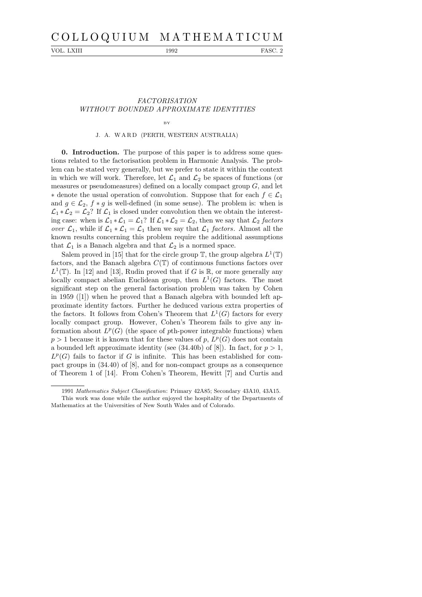# C O L L O Q U I U M M A T H E M A T I C U M

VOL. LXIII 1992 FASC. 2

# FACTORISATION WITHOUT BOUNDED APPROXIMATE IDENTITIES

#### BY

## J. A. WARD (PERTH, WESTERN AUSTRALIA)

0. Introduction. The purpose of this paper is to address some questions related to the factorisation problem in Harmonic Analysis. The problem can be stated very generally, but we prefer to state it within the context in which we will work. Therefore, let  $\mathcal{L}_1$  and  $\mathcal{L}_2$  be spaces of functions (or measures or pseudomeasures) defined on a locally compact group  $G$ , and let  $∗$  denote the usual operation of convolution. Suppose that for each  $f ∈ L_1$ and  $g \in \mathcal{L}_2$ ,  $f * g$  is well-defined (in some sense). The problem is: when is  $\mathcal{L}_1 * \mathcal{L}_2 = \mathcal{L}_2$ ? If  $\mathcal{L}_1$  is closed under convolution then we obtain the interesting case: when is  $\mathcal{L}_1 * \mathcal{L}_1 = \mathcal{L}_1$ ? If  $\mathcal{L}_1 * \mathcal{L}_2 = \mathcal{L}_2$ , then we say that  $\mathcal{L}_2$  factors over  $\mathcal{L}_1$ , while if  $\mathcal{L}_1 * \mathcal{L}_1 = \mathcal{L}_1$  then we say that  $\mathcal{L}_1$  factors. Almost all the known results concerning this problem require the additional assumptions that  $\mathcal{L}_1$  is a Banach algebra and that  $\mathcal{L}_2$  is a normed space.

Salem proved in [15] that for the circle group  $\mathbb{T}$ , the group algebra  $L^1(\mathbb{T})$ factors, and the Banach algebra  $C(\mathbb{T})$  of continuous functions factors over  $L^1(\mathbb{T})$ . In [12] and [13], Rudin proved that if G is R, or more generally any locally compact abelian Euclidean group, then  $L^1(G)$  factors. The most significant step on the general factorisation problem was taken by Cohen in 1959 ([1]) when he proved that a Banach algebra with bounded left approximate identity factors. Further he deduced various extra properties of the factors. It follows from Cohen's Theorem that  $L^1(G)$  factors for every locally compact group. However, Cohen's Theorem fails to give any information about  $L^p(G)$  (the space of pth-power integrable functions) when  $p > 1$  because it is known that for these values of p,  $L^p(G)$  does not contain a bounded left approximate identity (see  $(34.40b)$  of [8]). In fact, for  $p > 1$ ,  $L^p(G)$  fails to factor if G is infinite. This has been established for compact groups in (34.40) of [8], and for non-compact groups as a consequence of Theorem 1 of [14]. From Cohen's Theorem, Hewitt [7] and Curtis and

<sup>1991</sup> Mathematics Subject Classification: Primary 42A85; Secondary 43A10, 43A15.

This work was done while the author enjoyed the hospitality of the Departments of Mathematics at the Universities of New South Wales and of Colorado.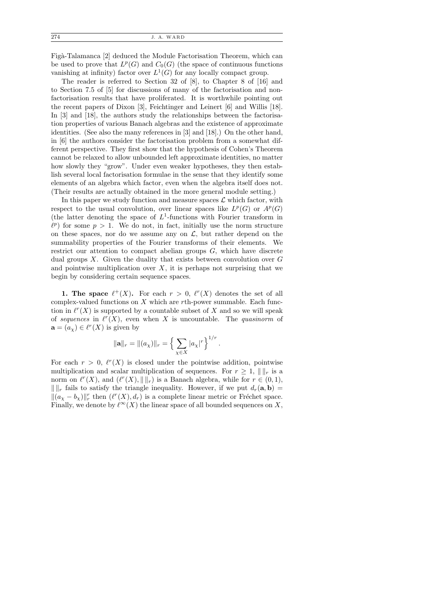Figà-Talamanca [2] deduced the Module Factorisation Theorem, which can be used to prove that  $L^p(G)$  and  $C_0(G)$  (the space of continuous functions vanishing at infinity) factor over  $L^1(G)$  for any locally compact group.

The reader is referred to Section 32 of [8], to Chapter 8 of [16] and to Section 7.5 of [5] for discussions of many of the factorisation and nonfactorisation results that have proliferated. It is worthwhile pointing out the recent papers of Dixon [3], Feichtinger and Leinert [6] and Willis [18]. In [3] and [18], the authors study the relationships between the factorisation properties of various Banach algebras and the existence of approximate identities. (See also the many references in [3] and [18].) On the other hand, in [6] the authors consider the factorisation problem from a somewhat different perspective. They first show that the hypothesis of Cohen's Theorem cannot be relaxed to allow unbounded left approximate identities, no matter how slowly they "grow". Under even weaker hypotheses, they then establish several local factorisation formulae in the sense that they identify some elements of an algebra which factor, even when the algebra itself does not. (Their results are actually obtained in the more general module setting.)

In this paper we study function and measure spaces  $\mathcal L$  which factor, with respect to the usual convolution, over linear spaces like  $L^p(G)$  or  $A^p(G)$ (the latter denoting the space of  $L^1$ -functions with Fourier transform in  $\ell^p$ ) for some  $p > 1$ . We do not, in fact, initially use the norm structure on these spaces, nor do we assume any on  $\mathcal{L}$ , but rather depend on the summability properties of the Fourier transforms of their elements. We restrict our attention to compact abelian groups  $G$ , which have discrete dual groups  $X$ . Given the duality that exists between convolution over  $G$ and pointwise multiplication over  $X$ , it is perhaps not surprising that we begin by considering certain sequence spaces.

**1. The space**  $\ell^+(X)$ . For each  $r > 0$ ,  $\ell^r(X)$  denotes the set of all complex-valued functions on  $X$  which are  $r$ th-power summable. Each function in  $\ell^{r}(X)$  is supported by a countable subset of X and so we will speak of sequences in  $\ell^{r}(X)$ , even when X is uncountable. The quasinorm of  $\mathbf{a} = (a_{\chi}) \in \ell^{r}(X)$  is given by

$$
\|\mathbf{a}\|_{r} = \|(a_{\chi})\|_{r} = \left\{\sum_{\chi \in X} |a_{\chi}|^{r}\right\}^{1/r}.
$$

For each  $r > 0$ ,  $\ell^{r}(X)$  is closed under the pointwise addition, pointwise multiplication and scalar multiplication of sequences. For  $r \geq 1$ ,  $\| \cdot \|_r$  is a norm on  $\ell^r(X)$ , and  $(\ell^r(X), \| \|_r)$  is a Banach algebra, while for  $r \in (0,1)$ ,  $\Vert \Vert_r$  fails to satisfy the triangle inequality. However, if we put  $d_r(\mathbf{a}, \mathbf{b}) =$  $\|(a_X - b_X)\|_r^r$  then  $(\ell^r(X), d_r)$  is a complete linear metric or Fréchet space. Finally, we denote by  $\ell^{\infty}(X)$  the linear space of all bounded sequences on X,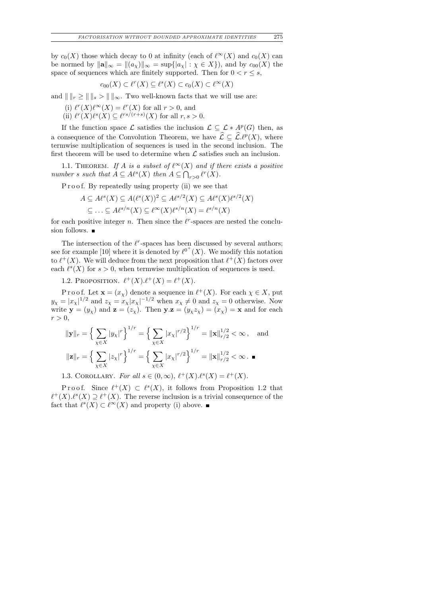by  $c_0(X)$  those which decay to 0 at infinity (each of  $\ell^{\infty}(X)$  and  $c_0(X)$  can be normed by  $\|\mathbf{a}\|_{\infty} = \|(a_{\chi})\|_{\infty} = \sup\{|a_{\chi}| : \chi \in X\}$ , and by  $c_{00}(X)$  the space of sequences which are finitely supported. Then for  $0 < r \leq s$ ,

$$
c_{00}(X) \subset \ell^r(X) \subseteq \ell^s(X) \subset c_0(X) \subset \ell^\infty(X)
$$

and  $\| \t \|_r \ge \| \t \|_s > \| \t \|_{\infty}$ . Two well-known facts that we will use are:

(i)  $\ell^r(X)\ell^{\infty}(X) = \ell^r(X)$  for all  $r > 0$ , and

(ii)  $\ell^r(X)\ell^s(X) \subseteq \ell^{rs/(r+s)}(X)$  for all  $r, s > 0$ .

If the function space  $\mathcal L$  satisfies the inclusion  $\mathcal L \subseteq \mathcal L * A^p(G)$  then, as a consequence of the Convolution Theorem, we have  $\hat{\mathcal{L}} \subseteq \hat{\mathcal{L}}^{\ell p}(X)$ , where termwise multiplication of sequences is used in the second inclusion. The first theorem will be used to determine when  ${\mathcal L}$  satisfies such an inclusion.

1.1. THEOREM. If A is a subset of  $\ell^{\infty}(X)$  and if there exists a positive number s such that  $A \subseteq A\ell^s(X)$  then  $A \subseteq \bigcap_{r>0} \ell^r(X)$ .

P r o o f. By repeatedly using property (ii) we see that

$$
A \subseteq A\ell^s(X) \subseteq A(\ell^s(X))^2 \subseteq A\ell^{s/2}(X) \subseteq A\ell^s(X)\ell^{s/2}(X)
$$
  

$$
\subseteq \dots \subseteq A\ell^{s/n}(X) \subseteq \ell^{\infty}(X)\ell^{s/n}(X) = \ell^{s/n}(X)
$$

for each positive integer n. Then since the  $\ell^r$ -spaces are nested the conclusion follows.  $\blacksquare$ 

The intersection of the  $\ell^r$ -spaces has been discussed by several authors; see for example [10] where it is denoted by  $\ell^{0^+}(X)$ . We modify this notation to  $\ell^+(X)$ . We will deduce from the next proposition that  $\ell^+(X)$  factors over each  $\ell^s(X)$  for  $s > 0$ , when termwise multiplication of sequences is used.

1.2. PROPOSITION.  $\ell^+(X) \ell^+(X) = \ell^+(X)$ .

P r o o f. Let  $\mathbf{x} = (x_{\chi})$  denote a sequence in  $\ell^+(X)$ . For each  $\chi \in X$ , put  $y_{\chi} = |x_{\chi}|^{1/2}$  and  $z_{\chi} = x_{\chi} |x_{\chi}|^{-1/2}$  when  $x_{\chi} \neq 0$  and  $z_{\chi} = 0$  otherwise. Now write  $y = (y_\chi)$  and  $z = (z_\chi)$ . Then  $y.z = (y_\chi z_\chi) = (x_\chi) = x$  and for each  $r > 0$ ,

$$
\|\mathbf{y}\|_{r} = \left\{\sum_{\chi \in X} |y_{\chi}|^{r}\right\}^{1/r} = \left\{\sum_{\chi \in X} |x_{\chi}|^{r/2}\right\}^{1/r} = \|\mathbf{x}\|_{r/2}^{1/2} < \infty, \text{ and}
$$

$$
\|\mathbf{z}\|_{r} = \left\{\sum_{\chi \in X} |z_{\chi}|^{r}\right\}^{1/r} = \left\{\sum_{\chi \in X} |x_{\chi}|^{r/2}\right\}^{1/r} = \|\mathbf{x}\|_{r/2}^{1/2} < \infty. \blacksquare
$$

1.3. COROLLARY. For all  $s \in (0, \infty)$ ,  $\ell^+(X) \cdot \ell^s(X) = \ell^+(X)$ .

Proof. Since  $\ell^+(X) \subset \ell^s(X)$ , it follows from Proposition 1.2 that  $\ell^+(X) \ell^s(X) \supseteq \ell^+(X)$ . The reverse inclusion is a trivial consequence of the fact that  $\ell^s(X) \subset \ell^\infty(X)$  and property (i) above.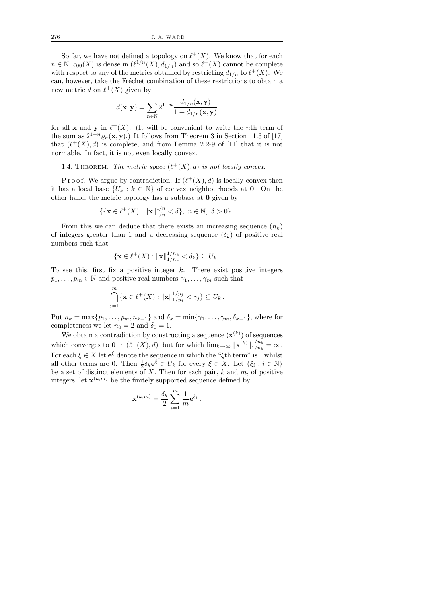276 J. A. WARD

So far, we have not defined a topology on  $\ell^+(X)$ . We know that for each  $n \in \mathbb{N}$ ,  $c_{00}(X)$  is dense in  $(\ell^{1/n}(X), d_{1/n})$  and so  $\ell^+(X)$  cannot be complete with respect to any of the metrics obtained by restricting  $d_{1/n}$  to  $\ell^+(X)$ . We can, however, take the Fréchet combination of these restrictions to obtain a new metric d on  $\ell^+(X)$  given by

$$
d(\mathbf{x}, \mathbf{y}) = \sum_{n \in \mathbb{N}} 2^{1-n} \frac{d_{1/n}(\mathbf{x}, \mathbf{y})}{1 + d_{1/n}(\mathbf{x}, \mathbf{y})}
$$

for all **x** and **y** in  $\ell^+(X)$ . (It will be convenient to write the *n*th term of the sum as  $2^{1-n} \varrho_n(\mathbf{x}, \mathbf{y})$ .) It follows from Theorem 3 in Section 11.3 of [17] that  $(\ell^+(X), d)$  is complete, and from Lemma 2.2-9 of [11] that it is not normable. In fact, it is not even locally convex.

1.4. THEOREM. The metric space  $(\ell^+(X), d)$  is not locally convex.

P r o o f. We argue by contradiction. If  $(\ell^+(X), d)$  is locally convex then it has a local base  $\{U_k : k \in \mathbb{N}\}\$  of convex neighbourhoods at 0. On the other hand, the metric topology has a subbase at 0 given by

$$
\{\{\mathbf x \in \ell^+(X) : \|\mathbf x\|_{1/n}^{1/n} < \delta\},\ n \in \mathbb N,\ \delta > 0\}.
$$

From this we can deduce that there exists an increasing sequence  $(n_k)$ of integers greater than 1 and a decreasing sequence  $(\delta_k)$  of positive real numbers such that

$$
\{\mathbf x\in \ell^+(X): \|\mathbf x\|_{1/n_k}^{1/n_k} < \delta_k\} \subseteq U_k.
$$

To see this, first fix a positive integer  $k$ . There exist positive integers  $p_1, \ldots, p_m \in \mathbb{N}$  and positive real numbers  $\gamma_1, \ldots, \gamma_m$  such that

$$
\bigcap_{j=1}^m \{ \mathbf{x} \in \ell^+(X) : ||\mathbf{x}||_{1/p_j}^{1/p_j} < \gamma_j \} \subseteq U_k \, .
$$

Put  $n_k = \max\{p_1, \ldots, p_m, n_{k-1}\}\$  and  $\delta_k = \min\{\gamma_1, \ldots, \gamma_m, \delta_{k-1}\}\$ , where for completeness we let  $n_0 = 2$  and  $\delta_0 = 1$ .

We obtain a contradiction by constructing a sequence  $(\mathbf{x}^{(k)})$  of sequences which converges to 0 in  $(\ell^+(X), d)$ , but for which  $\lim_{k\to\infty} ||\mathbf{x}^{(k)}||_{1/n_k}^{1/n_k}$  $\frac{1/n_k}{1/n_k} = \infty.$ For each  $\xi \in X$  let  $e^{\xi}$  denote the sequence in which the " $\xi$ <sup>th</sup> term" is 1 whilst all other terms are 0. Then  $\frac{1}{2}\delta_k \mathbf{e}^{\xi} \in U_k$  for every  $\xi \in X$ . Let  $\{\xi_i : i \in \mathbb{N}\}\$ be a set of distinct elements of X. Then for each pair,  $k$  and  $m$ , of positive integers, let  $\mathbf{x}^{(k,m)}$  be the finitely supported sequence defined by

$$
\mathbf{x}^{(k,m)} = \frac{\delta_k}{2} \sum_{i=1}^m \frac{1}{m} \mathbf{e}^{\xi_i}.
$$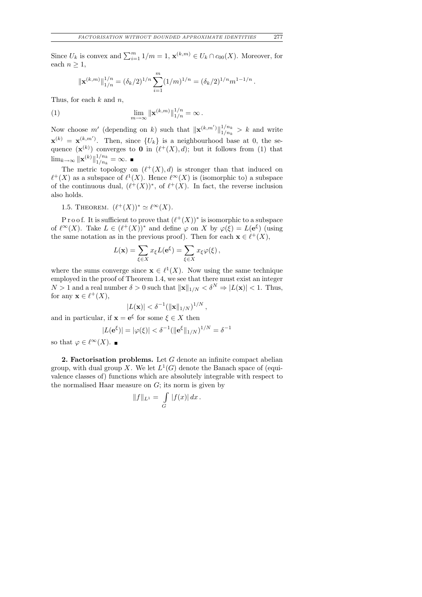Since  $U_k$  is convex and  $\sum_{i=1}^m 1/m = 1$ ,  $\mathbf{x}^{(k,m)} \in U_k \cap c_{00}(X)$ . Moreover, for each  $n \geq 1$ ,

$$
\|\mathbf{x}^{(k,m)}\|_{1/n}^{1/n} = (\delta_k/2)^{1/n} \sum_{i=1}^m (1/m)^{1/n} = (\delta_k/2)^{1/n} m^{1-1/n}.
$$

Thus, for each  $k$  and  $n$ ,

(1) 
$$
\lim_{m \to \infty} ||\mathbf{x}^{(k,m)}||_{1/n}^{1/n} = \infty.
$$

Now choose m' (depending on k) such that  $\|\mathbf{x}^{(k,m')}\|_{1/n_k}^{1/n_k}$  $\frac{1/n_k}{1/n_k} > k$  and write  $\mathbf{x}^{(k)} = \mathbf{x}^{(k,m')}$ . Then, since  $\{U_k\}$  is a neighbourhood base at 0, the sequence  $(\mathbf{x}^{(k)})$  converges to **0** in  $(\ell^+(X), d)$ ; but it follows from (1) that  $\lim_{k\to\infty} \|{\bf x}^{(k)}\|_{1/n_k}^{1/n_k}$  $\frac{1/n_k}{1/n_k} = \infty.$ 

The metric topology on  $(\ell^+(X), d)$  is stronger than that induced on  $\ell^+(X)$  as a subspace of  $\ell^1(X)$ . Hence  $\ell^{\infty}(X)$  is (isomorphic to) a subspace of the continuous dual,  $(\ell^+(X))^*$ , of  $\ell^+(X)$ . In fact, the reverse inclusion also holds.

1.5. THEOREM.  $(\ell^+(X))^* \simeq \ell^{\infty}(X)$ .

P r o o f. It is sufficient to prove that  $(\ell^+(X))^*$  is isomorphic to a subspace of  $\ell^{\infty}(X)$ . Take  $L \in (\ell^+(X))^*$  and define  $\varphi$  on X by  $\varphi(\xi) = L(e^{\xi})$  (using the same notation as in the previous proof). Then for each  $\mathbf{x} \in \ell^+(X)$ ,

$$
L(\mathbf{x}) = \sum_{\xi \in X} x_{\xi} L(\mathbf{e}^{\xi}) = \sum_{\xi \in X} x_{\xi} \varphi(\xi),
$$

where the sums converge since  $\mathbf{x} \in \ell^1(X)$ . Now using the same technique employed in the proof of Theorem 1.4, we see that there must exist an integer  $N > 1$  and a real number  $\delta > 0$  such that  $\|\mathbf{x}\|_{1/N} < \delta^N \Rightarrow |L(\mathbf{x})| < 1$ . Thus, for any  $\mathbf{x} \in \ell^+(X)$ ,

$$
|L(\mathbf{x})| < \delta^{-1}(\|\mathbf{x}\|_{1/N})^{1/N},
$$

and in particular, if  $\mathbf{x} = \mathbf{e}^{\xi}$  for some  $\xi \in X$  then

$$
|L(e^{\xi})| = |\varphi(\xi)| < \delta^{-1} (\|e^{\xi}\|_{1/N})^{1/N} = \delta^{-1}
$$

so that  $\varphi \in \ell^{\infty}(X)$ .

**2. Factorisation problems.** Let  $G$  denote an infinite compact abelian group, with dual group X. We let  $L^1(G)$  denote the Banach space of (equivalence classes of) functions which are absolutely integrable with respect to the normalised Haar measure on  $G$ ; its norm is given by

$$
||f||_{L^1} = \int\limits_G |f(x)| dx.
$$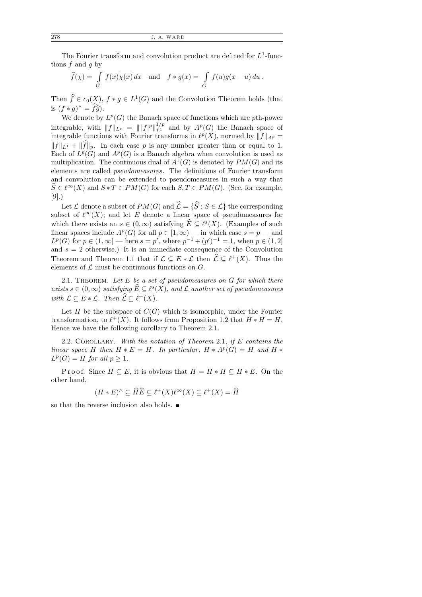The Fourier transform and convolution product are defined for  $L^1$ -functions  $f$  and  $g$  by

$$
\widehat{f}(\chi) = \int\limits_G f(x)\overline{\chi(x)} dx \text{ and } f * g(x) = \int\limits_G f(u)g(x - u) du.
$$

Then  $\widehat{f} \in c_0(X)$ ,  $f * g \in L^1(G)$  and the Convolution Theorem holds (that is  $(f * g)^{\wedge} = \widehat{f}\widehat{g}$ .<br>We denote by

We denote by  $L^p(G)$  the Banach space of functions which are pth-power integrable, with  $||f||_{L^p} = ||f|^p||_{L^1}^{1/p}$  and by  $A^p(G)$  the Banach space of integrable functions with Fourier transforms in  $\ell^p(X)$ , normed by  $||f||_{A^p} =$  $||f||_{L^1} + ||f||_p$ . In each case p is any number greater than or equal to 1. Each of  $L^p(G)$  and  $A^p(G)$  is a Banach algebra when convolution is used as multiplication. The continuous dual of  $A<sup>1</sup>(G)$  is denoted by  $PM(G)$  and its elements are called pseudomeasures. The definitions of Fourier transform and convolution can be extended to pseudomeasures in such a way that  $\widehat{S} \in \ell^{\infty}(X)$  and  $S * T \in PM(G)$  for each  $S, T \in PM(G)$ . (See, for example, [9].)

Let  $\mathcal L$  denote a subset of  $PM(G)$  and  $\hat{\mathcal L} = {\hat{S} : S \in \mathcal L}$  the corresponding subset of  $\ell^{\infty}(X)$ ; and let E denote a linear space of pseudomeasures for which there exists an  $s \in (0, \infty)$  satisfying  $\widehat{E} \subseteq \ell^s(X)$ . (Examples of such linear spaces include  $A^p(G)$  for all  $p \in [1,\infty)$  — in which case  $s = p$  — and  $L^p(G)$  for  $p \in (1,\infty]$  — here  $s = p'$ , where  $p^{-1} + (p')^{-1} = 1$ , when  $p \in (1,2]$ and  $s = 2$  otherwise.) It is an immediate consequence of the Convolution Theorem and Theorem 1.1 that if  $\mathcal{L} \subseteq E * \mathcal{L}$  then  $\hat{\mathcal{L}} \subseteq \ell^+(X)$ . Thus the elements of  $\mathcal L$  must be continuous functions on  $G$ .

2.1. THEOREM. Let  $E$  be a set of pseudomeasures on  $G$  for which there exists  $s \in (0, \infty)$  satisfying  $\widehat{E} \subseteq \ell^s(X)$ , and  $\mathcal L$  another set of pseudomeasures with  $\mathcal{L} \subseteq E * \mathcal{L}$ . Then  $\widehat{\mathcal{L}} \subseteq \ell^+(X)$ .

Let  $H$  be the subspace of  $C(G)$  which is isomorphic, under the Fourier transformation, to  $\ell^+(X)$ . It follows from Proposition 1.2 that  $H * H = H$ . Hence we have the following corollary to Theorem 2.1.

2.2. COROLLARY. With the notation of Theorem 2.1, if  $E$  contains the linear space H then  $H * E = H$ . In particular,  $H * A<sup>p</sup>(G) = H$  and  $H *$  $L^p(G) = H$  for all  $p \geq 1$ .

P r o o f. Since  $H \subseteq E$ , it is obvious that  $H = H * H \subseteq H * E$ . On the other hand,

$$
(H * E)^{\wedge} \subseteq \widehat{H} \widehat{E} \subseteq \ell^+(X)\ell^{\infty}(X) \subseteq \ell^+(X) = \widehat{H}
$$

so that the reverse inclusion also holds.  $\blacksquare$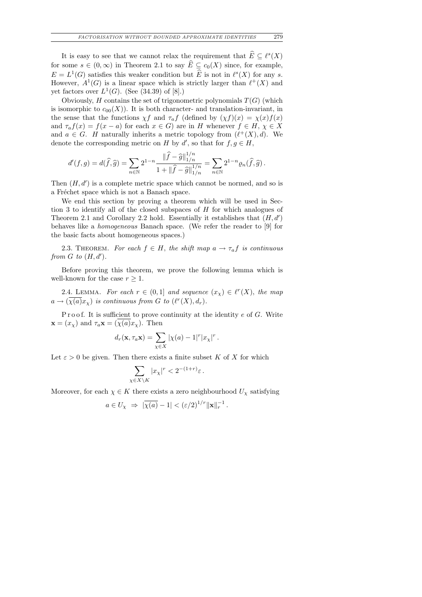It is easy to see that we cannot relax the requirement that  $\widehat{E} \subseteq \ell^s(X)$ for some  $s \in (0, \infty)$  in Theorem 2.1 to say  $\widehat{E} \subseteq c_0(X)$  since, for example,  $E = L^1(G)$  satisfies this weaker condition but  $\widehat{E}$  is not in  $\ell^s(X)$  for any s. However,  $A^1(G)$  is a linear space which is strictly larger than  $\ell^+(X)$  and yet factors over  $L^1(G)$ . (See (34.39) of [8].)

Obviously,  $H$  contains the set of trigonometric polynomials  $T(G)$  (which is isomorphic to  $c_{00}(X)$ ). It is both character- and translation-invariant, in the sense that the functions  $\chi f$  and  $\tau_a f$  (defined by  $(\chi f)(x) = \chi(x) f(x)$ and  $\tau_a f(x) = f(x - a)$  for each  $x \in G$ ) are in H whenever  $f \in H$ ,  $\chi \in X$ and  $a \in G$ . H naturally inherits a metric topology from  $(\ell^+(X), d)$ . We denote the corresponding metric on H by d', so that for  $f, g \in H$ ,

$$
d'(f,g) = d(\widehat{f}, \widehat{g}) = \sum_{n \in \mathbb{N}} 2^{1-n} \frac{\|\widehat{f} - \widehat{g}\|_{1/n}^{1/n}}{1 + \|\widehat{f} - \widehat{g}\|_{1/n}^{1/n}} = \sum_{n \in \mathbb{N}} 2^{1-n} \varrho_n(\widehat{f}, \widehat{g}).
$$

Then  $(H, d')$  is a complete metric space which cannot be normed, and so is a Fréchet space which is not a Banach space.

We end this section by proving a theorem which will be used in Section 3 to identify all of the closed subspaces of H for which analogues of Theorem 2.1 and Corollary 2.2 hold. Essentially it establishes that  $(H, d')$ behaves like a homogeneous Banach space. (We refer the reader to [9] for the basic facts about homogeneous spaces.)

2.3. THEOREM. For each  $f \in H$ , the shift map  $a \to \tau_a f$  is continuous from  $G$  to  $(H, d')$ .

Before proving this theorem, we prove the following lemma which is well-known for the case  $r \geq 1$ .

2.4. LEMMA. For each  $r \in (0,1]$  and sequence  $(x_\chi) \in \ell^r(X)$ , the map  $a \to (\overline{\chi(a)}x_{\chi})$  is continuous from G to  $(\ell^{r}(X), d_{r}).$ 

Proof. It is sufficient to prove continuity at the identity  $e$  of  $G$ . Write  $\mathbf{x} = (x_{\chi})$  and  $\tau_a \mathbf{x} = (\chi(a)x_{\chi})$ . Then

$$
d_r(\mathbf{x}, \tau_a \mathbf{x}) = \sum_{\chi \in X} |\chi(a) - 1|^r |x_\chi|^r.
$$

Let  $\varepsilon > 0$  be given. Then there exists a finite subset K of X for which

$$
\sum_{\chi \in X \setminus K} |x_{\chi}|^r < 2^{-(1+r)} \varepsilon \, .
$$

Moreover, for each  $\chi \in K$  there exists a zero neighbourhood  $U_{\chi}$  satisfying

$$
a \in U_{\chi} \Rightarrow |\overline{\chi(a)} - 1| < (\varepsilon/2)^{1/r} ||\mathbf{x}||_{r}^{-1}.
$$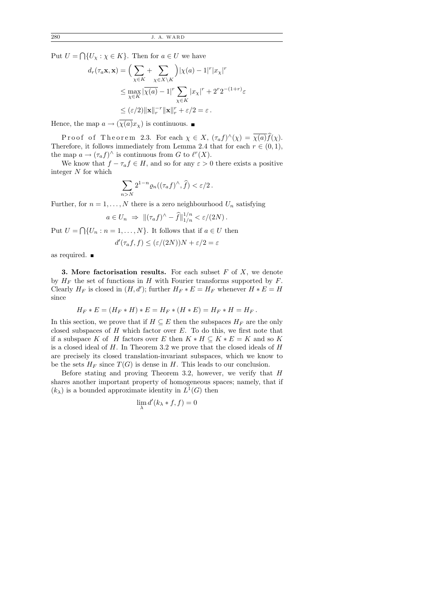Put  $U = \bigcap \{U_\chi : \chi \in K\}$ . Then for  $a \in U$  we have

$$
d_r(\tau_a \mathbf{x}, \mathbf{x}) = \left(\sum_{\chi \in K} + \sum_{\chi \in X \setminus K} \right) |\chi(a) - 1|^r |x_{\chi}|^r
$$
  
\n
$$
\leq \max_{\chi \in K} |\overline{\chi(a)} - 1|^r \sum_{\chi \in K} |x_{\chi}|^r + 2^r 2^{-(1+r)} \varepsilon
$$
  
\n
$$
\leq (\varepsilon/2) \|\mathbf{x}\|_r^{-r} \|\mathbf{x}\|_r^r + \varepsilon/2 = \varepsilon.
$$

Hence, the map  $a \to (\overline{\chi(a)} x_{\chi})$  is continuous.

Proof of Theorem 2.3. For each  $\chi \in X$ ,  $(\tau_a f)^{\wedge}(\chi) = \overline{\chi(a)} \overline{f}(\chi)$ . Therefore, it follows immediately from Lemma 2.4 that for each  $r \in (0,1)$ , the map  $a \to (\tau_a f)^\wedge$  is continuous from G to  $\ell^r(X)$ .

We know that  $f - \tau_a f \in H$ , and so for any  $\varepsilon > 0$  there exists a positive integer N for which

$$
\sum_{n>N} 2^{1-n} \varrho_n((\tau_a f)^\wedge, \widehat{f}) < \varepsilon/2 \, .
$$

Further, for  $n = 1, ..., N$  there is a zero neighbourhood  $U_n$  satisfying

$$
a \in U_n \Rightarrow ||(\tau_a f)^{\wedge} - \widehat{f}||_{1/n}^{1/n} < \varepsilon/(2N).
$$

Put  $U = \bigcap \{U_n : n = 1, \ldots, N\}$ . It follows that if  $a \in U$  then

$$
d'(\tau_a f, f) \le (\varepsilon/(2N))N + \varepsilon/2 = \varepsilon
$$

as required.  $\blacksquare$ 

**3.** More factorisation results. For each subset  $F$  of  $X$ , we denote by  $H_F$  the set of functions in H with Fourier transforms supported by F. Clearly  $H_F$  is closed in  $(H, d')$ ; further  $H_F * E = H_F$  whenever  $H * E = H$ since

$$
H_F * E = (H_F * H) * E = H_F * (H * E) = H_F * H = H_F.
$$

In this section, we prove that if  $H \subseteq E$  then the subspaces  $H_F$  are the only closed subspaces of  $H$  which factor over  $E$ . To do this, we first note that if a subspace K of H factors over E then  $K * H \subseteq K * E = K$  and so K is a closed ideal of  $H$ . In Theorem 3.2 we prove that the closed ideals of  $H$ are precisely its closed translation-invariant subspaces, which we know to be the sets  $H_F$  since  $T(G)$  is dense in H. This leads to our conclusion.

Before stating and proving Theorem 3.2, however, we verify that H shares another important property of homogeneous spaces; namely, that if  $(k_{\lambda})$  is a bounded approximate identity in  $L^1(G)$  then

$$
\lim_{\lambda} d'(k_{\lambda} * f, f) = 0
$$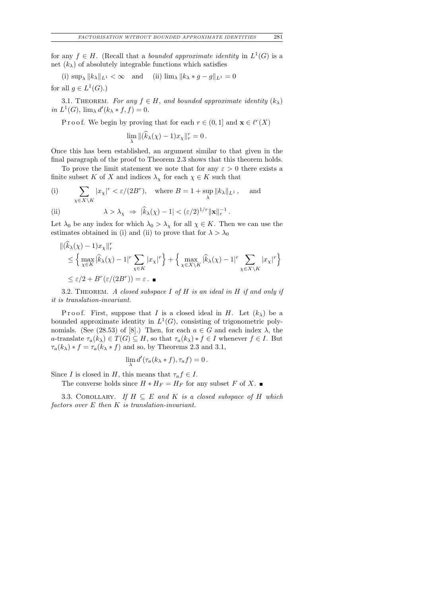for any  $f \in H$ . (Recall that a *bounded approximate identity* in  $L^1(G)$  is a net  $(k_{\lambda})$  of absolutely integrable functions which satisfies

(i)  $\sup_{\lambda} ||k_{\lambda}||_{L^{1}} < \infty$  and (ii)  $\lim_{\lambda} ||k_{\lambda} * g - g||_{L^{1}} = 0$ for all  $g \in L^1(G)$ .)

3.1. THEOREM. For any  $f \in H$ , and bounded approximate identity  $(k_{\lambda})$ in  $L^1(G)$ ,  $\lim_{\lambda} d'(k_{\lambda} * f, f) = 0$ .

P r o o f. We begin by proving that for each  $r \in (0,1]$  and  $\mathbf{x} \in \ell^r(X)$ 

 $\lim_{\lambda} \|(\widehat{k}_{\lambda}(\chi) - 1)x_{\chi}\|_{r}^{r} = 0.$ 

Once this has been established, an argument similar to that given in the final paragraph of the proof to Theorem 2.3 shows that this theorem holds.

To prove the limit statement we note that for any  $\varepsilon > 0$  there exists a finite subset K of X and indices  $\lambda_{\chi}$  for each  $\chi \in K$  such that

(i) 
$$
\sum_{\chi \in X \setminus K} |x_{\chi}|^r < \varepsilon/(2B^r), \quad \text{where } B = 1 + \sup_{\lambda} \|k_{\lambda}\|_{L^1}, \quad \text{and}
$$

(ii) 
$$
\lambda > \lambda_{\chi} \Rightarrow |\widehat{k}_{\lambda}(\chi) - 1| < (\varepsilon/2)^{1/r} ||\mathbf{x}||_{r}^{-1}.
$$

Let  $\lambda_0$  be any index for which  $\lambda_0 > \lambda_\chi$  for all  $\chi \in K$ . Then we can use the estimates obtained in (i) and (ii) to prove that for  $\lambda > \lambda_0$ 

$$
\begin{aligned} &\|(\widehat{k}_{\lambda}(\chi)-1)x_{\chi}\|_{r}^{r} \\ &\leq \Big\{\max_{\chi\in K}|\widehat{k}_{\lambda}(\chi)-1|^{r}\sum_{\chi\in K}|x_{\chi}|^{r}\Big\}+\Big\{\max_{\chi\in X\backslash K}|\widehat{k}_{\lambda}(\chi)-1|^{r}\sum_{\chi\in X\backslash K}|x_{\chi}|^{r}\Big\} \\ &\leq \varepsilon/2+B^{r}(\varepsilon/(2B^{r}))=\varepsilon. \end{aligned}
$$

3.2. THEOREM. A closed subspace I of  $H$  is an ideal in  $H$  if and only if it is translation-invariant.

P roof. First, suppose that I is a closed ideal in H. Let  $(k_\lambda)$  be a bounded approximate identity in  $L^1(G)$ , consisting of trigonometric polynomials. (See (28.53) of [8].) Then, for each  $a \in G$  and each index  $\lambda$ , the a-translate  $\tau_a(k_\lambda) \in T(G) \subseteq H$ , so that  $\tau_a(k_\lambda) * f \in I$  whenever  $f \in I$ . But  $\tau_a(k_\lambda) * f = \tau_a(k_\lambda * f)$  and so, by Theorems 2.3 and 3.1,

$$
\lim_{\lambda} d'(\tau_a(k_\lambda * f), \tau_a f) = 0.
$$

Since I is closed in H, this means that  $\tau_a f \in I$ .

The converse holds since 
$$
H * H_F = H_F
$$
 for any subset F of X.

3.3. COROLLARY. If  $H \subseteq E$  and K is a closed subspace of H which factors over  $E$  then  $K$  is translation-invariant.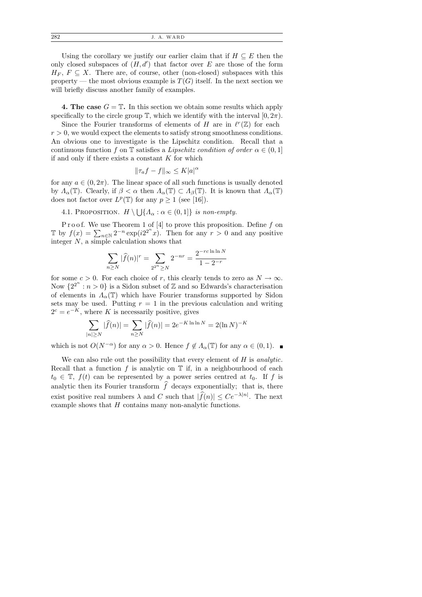| 282 |  | J. A. WARD |
|-----|--|------------|
|-----|--|------------|

Using the corollary we justify our earlier claim that if  $H \subseteq E$  then the only closed subspaces of  $(H, d')$  that factor over E are those of the form  $H_F$ ,  $F \subseteq X$ . There are, of course, other (non-closed) subspaces with this property — the most obvious example is  $T(G)$  itself. In the next section we will briefly discuss another family of examples.

4. The case  $G = \mathbb{T}$ . In this section we obtain some results which apply specifically to the circle group  $\mathbb{T}$ , which we identify with the interval  $[0, 2\pi)$ .

Since the Fourier transforms of elements of H are in  $\ell^r(\mathbb{Z})$  for each  $r > 0$ , we would expect the elements to satisfy strong smoothness conditions. An obvious one to investigate is the Lipschitz condition. Recall that a continuous function f on T satisfies a Lipschitz condition of order  $\alpha \in (0,1]$ if and only if there exists a constant  $K$  for which

$$
\|\tau_a f - f\|_{\infty} \le K|a|^{\alpha}
$$

for any  $a \in (0, 2\pi)$ . The linear space of all such functions is usually denoted by  $\Lambda_{\alpha}(\mathbb{T})$ . Clearly, if  $\beta < \alpha$  then  $\Lambda_{\alpha}(\mathbb{T}) \subset \Lambda_{\beta}(\mathbb{T})$ . It is known that  $\Lambda_{\alpha}(\mathbb{T})$ does not factor over  $L^p(\mathbb{T})$  for any  $p \geq 1$  (see [16]).

4.1. PROPOSITION. 
$$
H \setminus \bigcup \{A_{\alpha} : \alpha \in (0,1]\}
$$
 is non-empty.

P r o o f. We use Theorem 1 of [4] to prove this proposition. Define f on T by  $f(x) = \sum_{n \in \mathbb{N}} 2^{-n} \exp(i2^{2^n}x)$ . Then for any  $r > 0$  and any positive integer N, a simple calculation shows that

$$
\sum_{n\geq N} |\widehat{f}(n)|^r = \sum_{2^{2^n}\geq N} 2^{-nr} = \frac{2^{-rc\ln\ln N}}{1 - 2^{-r}}
$$

for some  $c > 0$ . For each choice of r, this clearly tends to zero as  $N \to \infty$ . Now  $\{2^{2^n}: n>0\}$  is a Sidon subset of Z and so Edwards's characterisation of elements in  $\Lambda_{\alpha}(\mathbb{T})$  which have Fourier transforms supported by Sidon sets may be used. Putting  $r = 1$  in the previous calculation and writing  $2^c = e^{-K}$ , where K is necessarily positive, gives

$$
\sum_{|n| \ge N} |\widehat{f}(n)| = \sum_{n \ge N} |\widehat{f}(n)| = 2e^{-K \ln \ln N} = 2(\ln N)^{-K}
$$

which is not  $O(N^{-\alpha})$  for any  $\alpha > 0$ . Hence  $f \notin A_{\alpha}(\mathbb{T})$  for any  $\alpha \in (0,1)$ .

We can also rule out the possibility that every element of  $H$  is analytic. Recall that a function f is analytic on  $\mathbb T$  if, in a neighbourhood of each  $t_0 \in \mathbb{T}$ ,  $f(t)$  can be represented by a power series centred at  $t_0$ . If f is analytic then its Fourier transform  $f$  decays exponentially; that is, there exist positive real numbers  $\lambda$  and C such that  $|\widehat{f}(n)| \leq Ce^{-\lambda |n|}$ . The next example shows that H contains many non-analytic functions.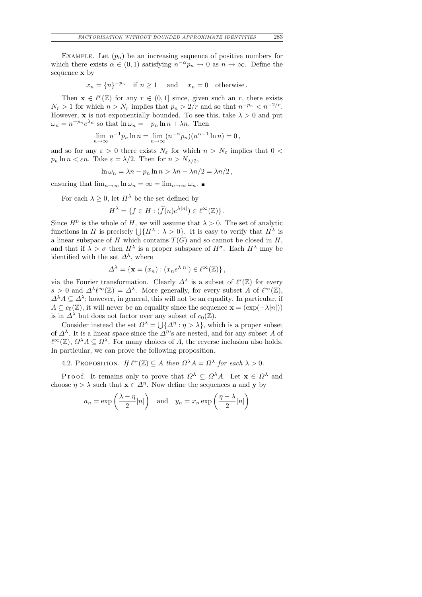EXAMPLE. Let  $(p_n)$  be an increasing sequence of positive numbers for which there exists  $\alpha \in (0,1)$  satisfying  $n^{-\alpha}p_n \to 0$  as  $n \to \infty$ . Define the sequence x by

$$
x_n = \{n\}^{-p_n}
$$
 if  $n \ge 1$  and  $x_n = 0$  otherwise.

Then  $\mathbf{x} \in \ell^r(\mathbb{Z})$  for any  $r \in (0,1]$  since, given such an r, there exists  $N_r > 1$  for which  $n > N_r$  implies that  $p_n > 2/r$  and so that  $n^{-p_n} < n^{-2/r}$ . However, **x** is not exponentially bounded. To see this, take  $\lambda > 0$  and put  $\omega_n = n^{-p_n} e^{\lambda_n}$  so that  $\ln \omega_n = -p_n \ln n + \lambda n$ . Then

$$
\lim_{n \to \infty} n^{-1} p_n \ln n = \lim_{n \to \infty} (n^{-\alpha} p_n)(n^{\alpha - 1} \ln n) = 0,
$$

and so for any  $\varepsilon > 0$  there exists  $N_{\varepsilon}$  for which  $n > N_{\varepsilon}$  implies that  $0 <$  $p_n \ln n < \varepsilon n$ . Take  $\varepsilon = \lambda/2$ . Then for  $n > N_{\lambda/2}$ ,

$$
\ln \omega_n = \lambda n - p_n \ln n > \lambda n - \lambda n/2 = \lambda n/2,
$$

ensuring that  $\lim_{n\to\infty} \ln \omega_n = \infty = \lim_{n\to\infty} \omega_n$ .

For each  $\lambda \geq 0$ , let  $H^{\lambda}$  be the set defined by

$$
H^{\lambda} = \{ f \in H : (\widehat{f}(n)e^{\lambda |n|}) \in \ell^{\infty}(\mathbb{Z}) \}.
$$

Since  $H^0$  is the whole of H, we will assume that  $\lambda > 0$ . The set of analytic functions in H is precisely  $\bigcup \{H^{\lambda} : \lambda > 0\}$ . It is easy to verify that  $H^{\lambda}$  is a linear subspace of H which contains  $T(G)$  and so cannot be closed in H, and that if  $\lambda > \sigma$  then  $H^{\lambda}$  is a proper subspace of  $H^{\sigma}$ . Each  $H^{\lambda}$  may be identified with the set  $\Delta^{\lambda}$ , where

$$
\Delta^{\lambda} = \{ \mathbf{x} = (x_n) : (x_n e^{\lambda |n|}) \in \ell^{\infty}(\mathbb{Z}) \},
$$

via the Fourier transformation. Clearly  $\Delta^{\lambda}$  is a subset of  $\ell^{s}(\mathbb{Z})$  for every  $s > 0$  and  $\Delta^{\lambda} \ell^{\infty}(\mathbb{Z}) = \Delta^{\lambda}$ . More generally, for every subset A of  $\ell^{\infty}(\mathbb{Z})$ ,  $\Delta^{\lambda} A \subseteq \Delta^{\lambda}$ ; however, in general, this will not be an equality. In particular, if  $A \subseteq c_0(\mathbb{Z})$ , it will never be an equality since the sequence  $\mathbf{x} = (\exp(-\lambda|n|))$ is in  $\Delta^{\lambda}$  but does not factor over any subset of  $c_0(\mathbb{Z})$ .

Consider instead the set  $\Omega^{\lambda} = \bigcup \{ \Delta^{\eta} : \eta > \lambda \},\$  which is a proper subset of  $\Delta^{\lambda}$ . It is a linear space since the  $\Delta^{\eta}$ 's are nested, and for any subset A of  $\ell^{\infty}(\mathbb{Z})$ ,  $\Omega^{\lambda} A \subseteq \Omega^{\lambda}$ . For many choices of A, the reverse inclusion also holds. In particular, we can prove the following proposition.

4.2. PROPOSITION. If  $\ell^+(\mathbb{Z}) \subseteq A$  then  $\Omega^{\lambda} A = \Omega^{\lambda}$  for each  $\lambda > 0$ .

P r o o f. It remains only to prove that  $\Omega^{\lambda} \subseteq \Omega^{\lambda}A$ . Let  $\mathbf{x} \in \Omega^{\lambda}$  and choose  $\eta > \lambda$  such that  $\mathbf{x} \in \Delta^{\eta}$ . Now define the sequences **a** and **y** by

$$
a_n = \exp\left(\frac{\lambda - \eta}{2}|n|\right)
$$
 and  $y_n = x_n \exp\left(\frac{\eta - \lambda}{2}|n|\right)$